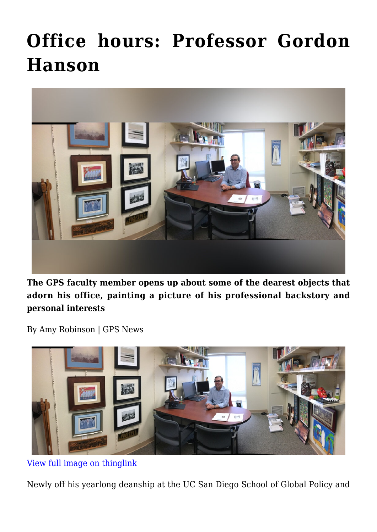## **[Office hours: Professor Gordon](https://gpsnews.ucsd.edu/office-hours-professor-gordon-hanson/) [Hanson](https://gpsnews.ucsd.edu/office-hours-professor-gordon-hanson/)**



**The GPS faculty member opens up about some of the dearest objects that adorn his office, painting a picture of his professional backstory and personal interests**

By Amy Robinson | GPS News



[View full image on thinglink](https://www.thinglink.com/scene/965326203474935811)

Newly off his yearlong deanship at the UC San Diego School of Global Policy and